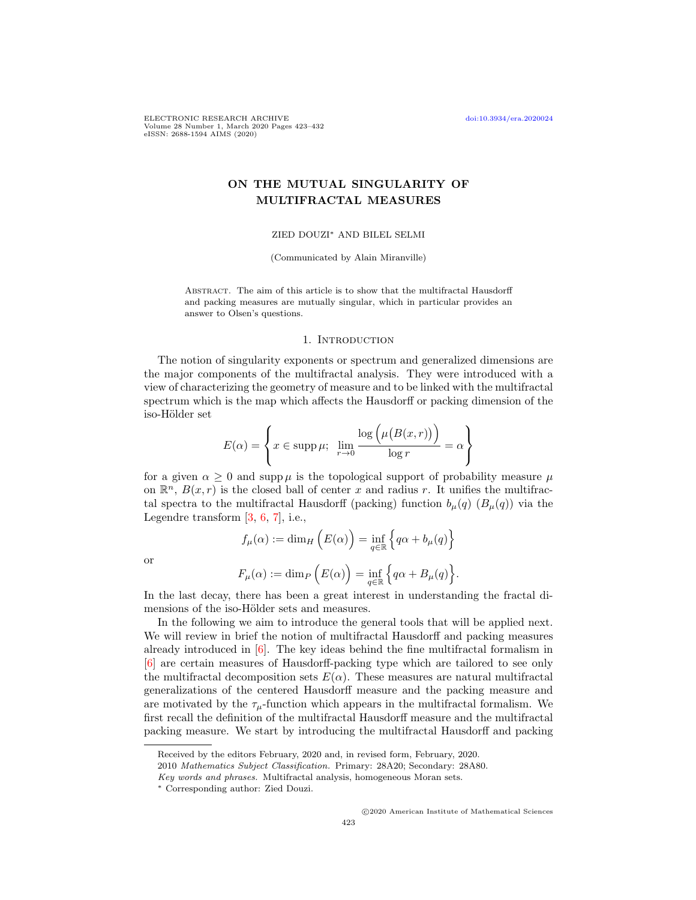ELECTRONIC RESEARCH ARCHIVE [doi:10.3934/era.2020024](http://dx.doi.org/10.3934/era.2020024) Volume 28 Number 1, March 2020 Pages 423–432 eISSN: 2688-1594 AIMS (2020)

# ON THE MUTUAL SINGULARITY OF MULTIFRACTAL MEASURES

### ZIED DOUZI<sup>∗</sup> AND BILEL SELMI

(Communicated by Alain Miranville)

Abstract. The aim of this article is to show that the multifractal Hausdorff and packing measures are mutually singular, which in particular provides an answer to Olsen's questions.

## 1. INTRODUCTION

The notion of singularity exponents or spectrum and generalized dimensions are the major components of the multifractal analysis. They were introduced with a view of characterizing the geometry of measure and to be linked with the multifractal spectrum which is the map which affects the Hausdorff or packing dimension of the iso-Hölder set

$$
E(\alpha) = \left\{ x \in \text{supp}\,\mu; \ \lim_{r \to 0} \frac{\log \left( \mu(B(x, r)) \right)}{\log r} = \alpha \right\}
$$

for a given  $\alpha > 0$  and supp  $\mu$  is the topological support of probability measure  $\mu$ on  $\mathbb{R}^n$ ,  $B(x,r)$  is the closed ball of center x and radius r. It unifies the multifractal spectra to the multifractal Hausdorff (packing) function  $b_\mu(q)$  ( $B_\mu(q)$ ) via the Legendre transform [\[3,](#page-8-0) [6,](#page-8-1) [7\]](#page-8-2), i.e.,

$$
f_{\mu}(\alpha) := \dim_{H} \left( E(\alpha) \right) = \inf_{q \in \mathbb{R}} \left\{ q\alpha + b_{\mu}(q) \right\}
$$

or

$$
F_{\mu}(\alpha) := \dim_{P} \left( E(\alpha) \right) = \inf_{q \in \mathbb{R}} \left\{ q\alpha + B_{\mu}(q) \right\}.
$$

In the last decay, there has been a great interest in understanding the fractal dimensions of the iso-Hölder sets and measures.

In the following we aim to introduce the general tools that will be applied next. We will review in brief the notion of multifractal Hausdorff and packing measures already introduced in  $[6]$ . The key ideas behind the fine multifractal formalism in [\[6\]](#page-8-1) are certain measures of Hausdorff-packing type which are tailored to see only the multifractal decomposition sets  $E(\alpha)$ . These measures are natural multifractal generalizations of the centered Hausdorff measure and the packing measure and are motivated by the  $\tau_{\mu}$ -function which appears in the multifractal formalism. We first recall the definition of the multifractal Hausdorff measure and the multifractal packing measure. We start by introducing the multifractal Hausdorff and packing

Received by the editors February, 2020 and, in revised form, February, 2020.

<sup>2010</sup> Mathematics Subject Classification. Primary: 28A20; Secondary: 28A80.

Key words and phrases. Multifractal analysis, homogeneous Moran sets.

<sup>∗</sup> Corresponding author: Zied Douzi.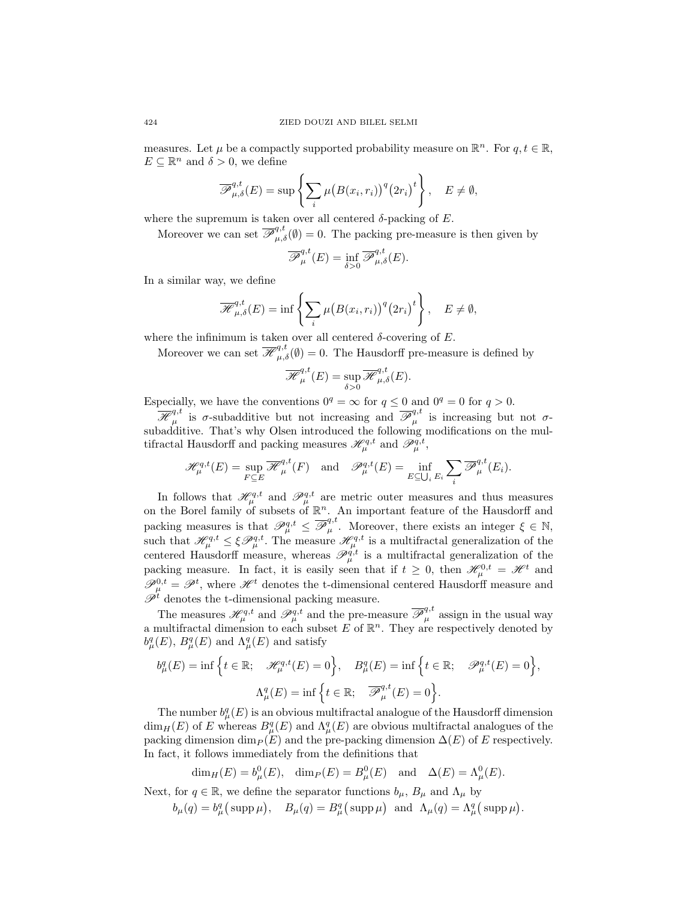measures. Let  $\mu$  be a compactly supported probability measure on  $\mathbb{R}^n$ . For  $q, t \in \mathbb{R}$ ,  $E \subseteq \mathbb{R}^n$  and  $\delta > 0$ , we define

$$
\overline{\mathscr{P}}_{\mu,\delta}^{q,t}(E) = \sup \left\{ \sum_{i} \mu \big( B(x_i, r_i) \big)^q \big( 2r_i \big)^t \right\}, \quad E \neq \emptyset,
$$

where the supremum is taken over all centered  $\delta$ -packing of E.

Moreover we can set  $\overline{\mathscr{P}}_{\mu,\delta}^{q,t}(\emptyset) = 0$ . The packing pre-measure is then given by

$$
\overline{\mathscr{P}}_{\mu}^{q,t}(E) = \inf_{\delta > 0} \overline{\mathscr{P}}_{\mu,\delta}^{q,t}(E).
$$

In a similar way, we define

$$
\overline{\mathscr{H}}_{\mu,\delta}^{q,t}(E) = \inf \left\{ \sum_{i} \mu(B(x_i,r_i))^q (2r_i)^t \right\}, \quad E \neq \emptyset,
$$

where the infinimum is taken over all centered  $\delta$ -covering of E.

Moreover we can set  $\overline{\mathscr{H}}_{\mu,\delta}^{q,t}(\emptyset) = 0$ . The Hausdorff pre-measure is defined by

$$
\overline{\mathscr{H}}_{\mu}^{q,t}(E) = \sup_{\delta > 0} \overline{\mathscr{H}}_{\mu,\delta}^{q,t}(E).
$$

Especially, we have the conventions  $0^q = \infty$  for  $q \leq 0$  and  $0^q = 0$  for  $q > 0$ .

 $\overline{\mathscr{H}}_{\mu}^{q,t}$  $\overline{\mathscr{P}}_{\mu}^{q,t}$  is  $\sigma$ -subadditive but not increasing and  $\overline{\mathscr{P}}_{\mu}^{q,t}$  $_{\mu}^{\mathbf{q},\mathbf{v}}$  is increasing but not  $\sigma$ subadditive. That's why Olsen introduced the following modifications on the multifractal Hausdorff and packing measures  $\mathscr{H}_{\mu}^{q,t}$  and  $\mathscr{P}_{\mu}^{q,t}$ ,

$$
\mathcal{H}_{\mu}^{q,t}(E) = \sup_{F \subseteq E} \overline{\mathcal{H}}_{\mu}^{q,t}(F) \quad \text{and} \quad \mathcal{P}_{\mu}^{q,t}(E) = \inf_{E \subseteq \bigcup_{i} E_{i}} \sum_{i} \overline{\mathcal{P}}_{\mu}^{q,t}(E_{i}).
$$

In follows that  $\mathcal{H}_{\mu}^{q,t}$  and  $\mathcal{P}_{\mu}^{q,t}$  are metric outer measures and thus measures on the Borel family of subsets of  $\mathbb{R}^n$ . An important feature of the Hausdorff and packing measures is that  $\mathscr{P}_{\mu}^{q,t} \leq \overline{\mathscr{P}}_{\mu}^{q,t}$  $\mu^{q,t}$ . Moreover, there exists an integer  $\xi \in \mathbb{N}$ , such that  $\mathcal{H}_{\mu}^{q,t} \leq \xi \mathcal{P}_{\mu}^{q,t}$ . The measure  $\mathcal{H}_{\mu}^{q,t}$  is a multifractal generalization of the centered Hausdorff measure, whereas  $\mathscr{P}_{\mu}^{q,t}$  is a multifractal generalization of the packing measure. In fact, it is easily seen that if  $t \geq 0$ , then  $\mathscr{H}_{\mu}^{0,t} = \mathscr{H}^t$  and  $\mathscr{P}_{\mu}^{0,t} = \mathscr{P}^{t}$ , where  $\mathscr{H}^{t}$  denotes the t-dimensional centered Hausdorff measure and  $\mathscr{P}^t$  denotes the t-dimensional packing measure.

The measures  $\mathscr{H}_{\mu}^{q,t}$  and  $\mathscr{P}_{\mu}^{q,t}$  and the pre-measure  $\overline{\mathscr{P}}_{\mu}^{q,t}$  assign in the usual way a multifractal dimension to each subset E of  $\mathbb{R}^n$ . They are respectively denoted by  $b^q_\mu(E)$ ,  $B^q_\mu(E)$  and  $\Lambda^q_\mu(E)$  and satisfy

$$
b^q_\mu(E) = \inf \Big\{ t \in \mathbb{R}; \quad \mathcal{H}^{q,t}_\mu(E) = 0 \Big\}, \quad B^q_\mu(E) = \inf \Big\{ t \in \mathbb{R}; \quad \mathcal{P}^{q,t}_\mu(E) = 0 \Big\},
$$
  

$$
\Lambda^q_\mu(E) = \inf \Big\{ t \in \mathbb{R}; \quad \overline{\mathcal{P}}^{q,t}_\mu(E) = 0 \Big\}.
$$

The number  $b_{\mu}^{q}(E)$  is an obvious multifractal analogue of the Hausdorff dimension  $\dim_H(E)$  of E whereas  $B^q_\mu(E)$  and  $\Lambda^q_\mu(E)$  are obvious multifractal analogues of the packing dimension dim $_P (E)$  and the pre-packing dimension  $\Delta(E)$  of E respectively. In fact, it follows immediately from the definitions that

$$
\dim_H(E) = b^0_\mu(E), \quad \dim_P(E) = B^0_\mu(E) \quad \text{and} \quad \Delta(E) = \Lambda^0_\mu(E).
$$

Next, for  $q \in \mathbb{R}$ , we define the separator functions  $b_{\mu}$ ,  $B_{\mu}$  and  $\Lambda_{\mu}$  by  $b_{\mu}(q) = b_{\mu}^{q}(\text{supp }\mu), \quad B_{\mu}(q) = B_{\mu}^{q}(\text{supp }\mu) \text{ and } \Lambda_{\mu}(q) = \Lambda_{\mu}^{q}(\text{supp }\mu).$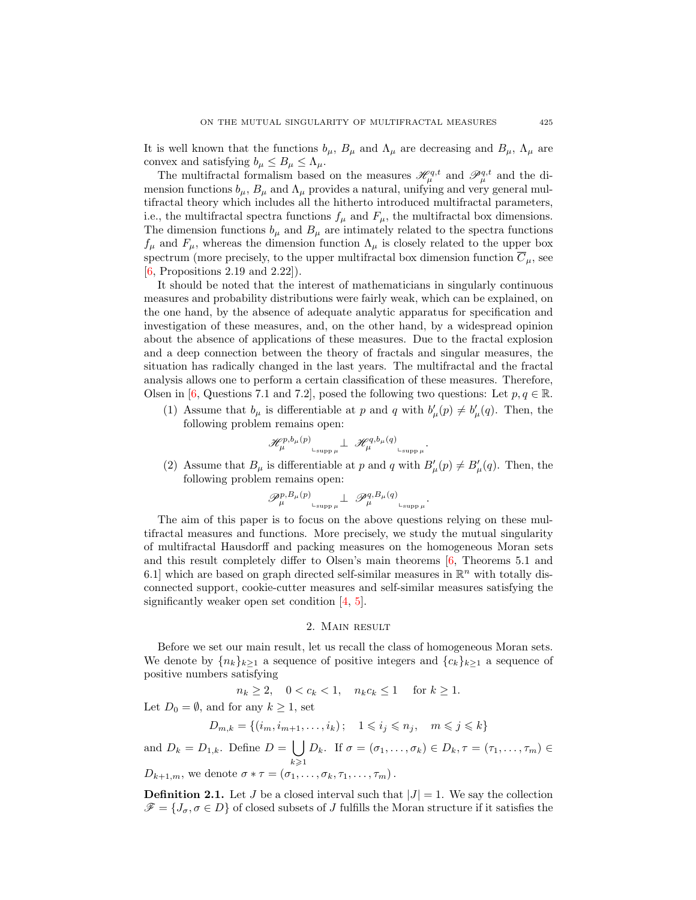It is well known that the functions  $b_{\mu}$ ,  $B_{\mu}$  and  $\Lambda_{\mu}$  are decreasing and  $B_{\mu}$ ,  $\Lambda_{\mu}$  are convex and satisfying  $b_{\mu} \leq B_{\mu} \leq \Lambda_{\mu}$ .

The multifractal formalism based on the measures  $\mathcal{H}_{\mu}^{q,t}$  and  $\mathcal{P}_{\mu}^{q,t}$  and the dimension functions  $b_{\mu}$ ,  $B_{\mu}$  and  $\Lambda_{\mu}$  provides a natural, unifying and very general multifractal theory which includes all the hitherto introduced multifractal parameters, i.e., the multifractal spectra functions  $f_{\mu}$  and  $F_{\mu}$ , the multifractal box dimensions. The dimension functions  $b_\mu$  and  $B_\mu$  are intimately related to the spectra functions  $f_{\mu}$  and  $F_{\mu}$ , whereas the dimension function  $\Lambda_{\mu}$  is closely related to the upper box spectrum (more precisely, to the upper multifractal box dimension function  $\overline{C}_{\mu}$ , see [\[6,](#page-8-1) Propositions 2.19 and 2.22]).

It should be noted that the interest of mathematicians in singularly continuous measures and probability distributions were fairly weak, which can be explained, on the one hand, by the absence of adequate analytic apparatus for specification and investigation of these measures, and, on the other hand, by a widespread opinion about the absence of applications of these measures. Due to the fractal explosion and a deep connection between the theory of fractals and singular measures, the situation has radically changed in the last years. The multifractal and the fractal analysis allows one to perform a certain classification of these measures. Therefore, Olsen in [\[6,](#page-8-1) Questions 7.1 and 7.2], posed the following two questions: Let  $p, q \in \mathbb{R}$ .

(1) Assume that  $b_{\mu}$  is differentiable at p and q with  $b'_{\mu}(p) \neq b'_{\mu}(q)$ . Then, the following problem remains open:

$$
\mathscr{H}^{p,b_{\mu}(p)}_{\mu}\Big|_{\text{supp }\mu}\perp \mathscr{H}^{q,b_{\mu}(q)}_{\mu}\Big|_{\text{supp }\mu}.
$$

(2) Assume that  $B_{\mu}$  is differentiable at p and q with  $B'_{\mu}(p) \neq B'_{\mu}(q)$ . Then, the following problem remains open:

.

$$
\mathscr{P}_{\mu}^{p,B_{\mu}(p)}\mathop{\perp\hspace{0.05cm}}_{\text{supp}\,\mu}\perp \mathscr{P}_{\mu}^{q,B_{\mu}(q)}\mathop{\perp\hspace{0.05cm}}_{\text{supp}\,\mu}
$$

The aim of this paper is to focus on the above questions relying on these multifractal measures and functions. More precisely, we study the mutual singularity of multifractal Hausdorff and packing measures on the homogeneous Moran sets and this result completely differ to Olsen's main theorems [\[6,](#page-8-1) Theorems 5.1 and 6.1] which are based on graph directed self-similar measures in  $\mathbb{R}^n$  with totally disconnected support, cookie-cutter measures and self-similar measures satisfying the significantly weaker open set condition [\[4,](#page-8-3) [5\]](#page-8-4).

## 2. Main result

Before we set our main result, let us recall the class of homogeneous Moran sets. We denote by  $\{n_k\}_{k>1}$  a sequence of positive integers and  $\{c_k\}_{k>1}$  a sequence of positive numbers satisfying

$$
n_k \ge 2, \quad 0 < c_k < 1, \quad n_k c_k \le 1 \quad \text{ for } k \ge 1.
$$

Let  $D_0 = \emptyset$ , and for any  $k \geq 1$ , set

$$
D_{m,k} = \{(i_m, i_{m+1}, \dots, i_k); \quad 1 \leqslant i_j \leqslant n_j, \quad m \leqslant j \leqslant k\}
$$

and  $D_k = D_{1,k}$ . Define  $D = \begin{bmatrix} \end{bmatrix}$  $k\geqslant 1$  $D_k$ . If  $\sigma = (\sigma_1, \ldots, \sigma_k) \in D_k$ ,  $\tau = (\tau_1, \ldots, \tau_m) \in$  $D_{k+1,m}$ , we denote  $\sigma * \tau = (\sigma_1, \ldots, \sigma_k, \tau_1, \ldots, \tau_m)$ .

**Definition 2.1.** Let J be a closed interval such that  $|J| = 1$ . We say the collection  $\mathscr{F} = \{J_{\sigma}, \sigma \in D\}$  of closed subsets of J fulfills the Moran structure if it satisfies the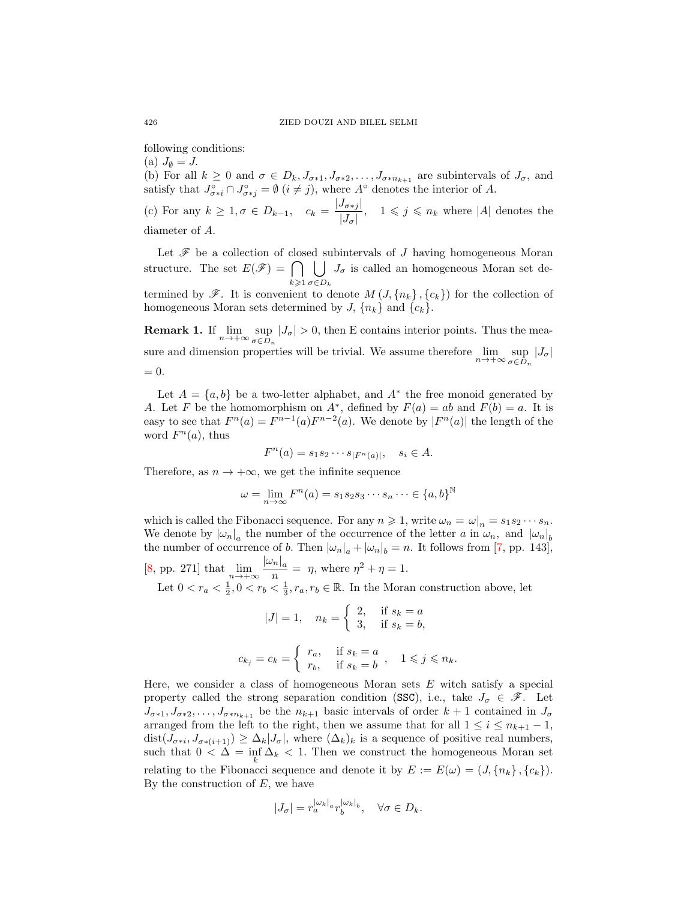following conditions:

(a)  $J_{\emptyset} = J$ .

(b) For all  $k \geq 0$  and  $\sigma \in D_k, J_{\sigma*1}, J_{\sigma*2}, \ldots, J_{\sigma*n_{k+1}}$  are subintervals of  $J_{\sigma}$ , and satisfy that  $J_{\sigma \ast i}^{\circ} \cap J_{\sigma \ast j}^{\circ} = \emptyset$   $(i \neq j)$ , where  $A^{\circ}$  denotes the interior of A.

(c) For any  $k \geq 1, \sigma \in D_{k-1}, c_k = \frac{|J_{\sigma *j}|}{|J_{\sigma *j}|}$  $\frac{J_{\sigma * j}}{|J_{\sigma}|}, \quad 1 \leqslant j \leqslant n_k$  where |A| denotes the diameter of A.

Let  $\mathscr F$  be a collection of closed subintervals of  $J$  having homogeneous Moran structure. The set  $E(\mathscr{F}) = \bigcap$  $k\geqslant 1$  $\mathsf{L}$  $\sigma \in D_k$  $J_{\sigma}$  is called an homogeneous Moran set de-

termined by  $\mathscr{F}$ . It is convenient to denote  $M(J, \{n_k\}, \{c_k\})$  for the collection of homogeneous Moran sets determined by J,  $\{n_k\}$  and  $\{c_k\}$ .

**Remark 1.** If  $\lim_{n\to+\infty} \sup_{\sigma\in D_n}$  $\sup_{\sigma \in D_n} |J_{\sigma}| > 0$ , then E contains interior points. Thus the measure and dimension properties will be trivial. We assume therefore  $\lim_{n\to+\infty} \sup_{\sigma\in D}$  $\sup_{\sigma \in D_n} |J_{\sigma}|$  $= 0.$ 

Let  $A = \{a, b\}$  be a two-letter alphabet, and  $A^*$  the free monoid generated by A. Let F be the homomorphism on  $A^*$ , defined by  $F(a) = ab$  and  $F(b) = a$ . It is easy to see that  $F^{n}(a) = F^{n-1}(a)F^{n-2}(a)$ . We denote by  $|F^{n}(a)|$  the length of the word  $F<sup>n</sup>(a)$ , thus

$$
F^n(a) = s_1 s_2 \cdots s_{|F^n(a)|}, \quad s_i \in A.
$$

Therefore, as  $n \to +\infty$ , we get the infinite sequence

$$
\omega = \lim_{n \to \infty} F^n(a) = s_1 s_2 s_3 \cdots s_n \cdots \in \{a, b\}^{\mathbb{N}}
$$

which is called the Fibonacci sequence. For any  $n \geq 1$ , write  $\omega_n = \omega|_n = s_1 s_2 \cdots s_n$ . We denote by  $|\omega_n|_a$  the number of the occurrence of the letter a in  $\omega_n$ , and  $|\omega_n|_b$ the number of occurrence of b. Then  $|\omega_n|_a + |\omega_n|_b = n$ . It follows from [\[7,](#page-8-2) pp. 143], [\[8,](#page-8-5) pp. 271] that  $\lim_{n \to +\infty} \frac{|\omega_n|_a}{n}$ 

 $\frac{n|a}{n} = \eta$ , where  $\eta^2 + \eta = 1$ . Let  $0 < r_a < \frac{1}{2}$ ,  $0 < r_b < \frac{1}{3}$ ,  $r_a$ ,  $r_b \in \mathbb{R}$ . In the Moran construction above, let

$$
|J| = 1, \quad n_k = \begin{cases} 2, & \text{if } s_k = a \\ 3, & \text{if } s_k = b, \end{cases}
$$
\n
$$
c_{k_j} = c_k = \begin{cases} r_a, & \text{if } s_k = a \\ r_b, & \text{if } s_k = b \end{cases}, \quad 1 \leq j \leq n_k.
$$

Here, we consider a class of homogeneous Moran sets  $E$  witch satisfy a special property called the strong separation condition (SSC), i.e., take  $J_{\sigma} \in \mathscr{F}$ . Let  $J_{\sigma*1}, J_{\sigma*2}, \ldots, J_{\sigma*n_{k+1}}$  be the  $n_{k+1}$  basic intervals of order  $k+1$  contained in  $J_{\sigma}$ arranged from the left to the right, then we assume that for all  $1 \leq i \leq n_{k+1} - 1$ ,  $dist(J_{\sigma \ast i}, J_{\sigma \ast (i+1)}) \geq \Delta_k |J_{\sigma}|$ , where  $(\Delta_k)_k$  is a sequence of positive real numbers, such that  $0 < \Delta = \inf_k \Delta_k < 1$ . Then we construct the homogeneous Moran set relating to the Fibonacci sequence and denote it by  $E := E(\omega) = (J, \{n_k\}, \{c_k\}).$ By the construction of  $E$ , we have

$$
|J_{\sigma}| = r_a^{|\omega_k|_a} r_b^{|\omega_k|_b}, \quad \forall \sigma \in D_k.
$$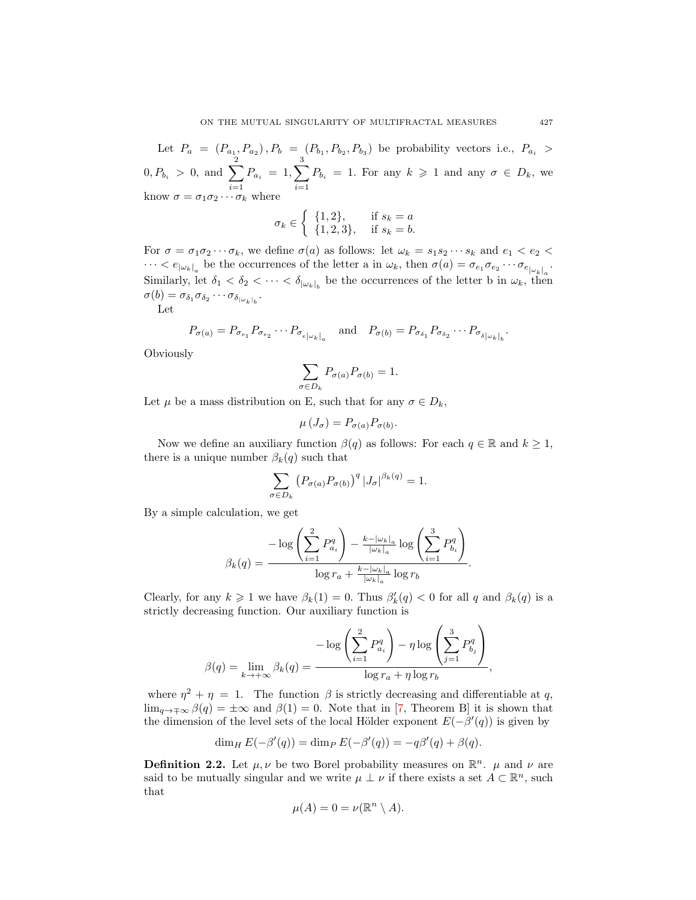Let  $P_a = (P_{a_1}, P_{a_2}), P_b = (P_{b_1}, P_{b_2}, P_{b_3})$  be probability vectors i.e.,  $P_{a_i} >$  $0, P_{b_i} > 0, \text{ and } \sum_{i=1}^{n}$  $i=1$  $P_{a_i}~=~1,\sum^3$  $i=1$  $P_{b_i} = 1$ . For any  $k \geq 1$  and any  $\sigma \in D_k$ , we know  $\sigma = \sigma_1 \sigma_2 \cdots \sigma_k$  where

$$
\sigma_k \in \left\{ \begin{array}{ll} \{1,2\}, & \text{if } s_k = a \\ \{1,2,3\}, & \text{if } s_k = b. \end{array} \right.
$$

For  $\sigma = \sigma_1 \sigma_2 \cdots \sigma_k$ , we define  $\sigma(a)$  as follows: let  $\omega_k = s_1 s_2 \cdots s_k$  and  $e_1 < e_2 <$  $\cdots < e_{|\omega_k|_a}$  be the occurrences of the letter a in  $\omega_k$ , then  $\sigma(a) = \sigma_{e_1} \sigma_{e_2} \cdots \sigma_{e_{|\omega_k|_a}}$ . Similarly, let  $\delta_1 < \delta_2 < \cdots < \delta_{|\omega_k|_b}$  be the occurrences of the letter b in  $\omega_k$ , then  $\sigma(b) = \sigma_{\delta_1} \sigma_{\delta_2} \cdots \sigma_{\delta_{|\omega_k|_b}}.$ 

Let

$$
P_{\sigma(a)} = P_{\sigma_{e_1}} P_{\sigma_{e_2}} \cdots P_{\sigma_{e|\omega_k|_a}} \quad \text{and} \quad P_{\sigma(b)} = P_{\sigma_{\delta_1}} P_{\sigma_{\delta_2}} \cdots P_{\sigma_{\delta|\omega_k|_b}}.
$$

**Obviously** 

$$
\sum_{\sigma \in D_k} P_{\sigma(a)} P_{\sigma(b)} = 1.
$$

Let  $\mu$  be a mass distribution on E, such that for any  $\sigma \in D_k$ ,

σ∈D<sup>k</sup>

$$
\mu\left(J_{\sigma}\right) = P_{\sigma(a)} P_{\sigma(b)}.
$$

Now we define an auxiliary function  $\beta(q)$  as follows: For each  $q \in \mathbb{R}$  and  $k \geq 1$ , there is a unique number  $\beta_k(q)$  such that

$$
\sum_{\sigma \in D_k} \left( P_{\sigma(a)} P_{\sigma(b)} \right)^q \left| J_{\sigma} \right|^{\beta_k(q)} = 1.
$$

By a simple calculation, we get

$$
\beta_k(q) = \frac{-\log\left(\sum_{i=1}^2 P_{a_i}^q\right) - \frac{k - |\omega_k|_a}{|\omega_k|_a} \log\left(\sum_{i=1}^3 P_{b_i}^q\right)}{\log r_a + \frac{k - |\omega_k|_a}{|\omega_k|_a} \log r_b}.
$$

Clearly, for any  $k \geq 1$  we have  $\beta_k(1) = 0$ . Thus  $\beta'_k(q) < 0$  for all q and  $\beta_k(q)$  is a strictly decreasing function. Our auxiliary function is

$$
\beta(q) = \lim_{k \to +\infty} \beta_k(q) = \frac{-\log\left(\sum_{i=1}^2 P_{a_i}^q\right) - \eta \log\left(\sum_{j=1}^3 P_{b_j}^q\right)}{\log r_a + \eta \log r_b},
$$

where  $\eta^2 + \eta = 1$ . The function  $\beta$  is strictly decreasing and differentiable at q,  $\lim_{q \to \pm \infty} \beta(q) = \pm \infty$  and  $\beta(1) = 0$ . Note that in [\[7,](#page-8-2) Theorem B] it is shown that the dimension of the level sets of the local Hölder exponent  $E(-\beta'(q))$  is given by

$$
\dim_H E(-\beta'(q)) = \dim_P E(-\beta'(q)) = -q\beta'(q) + \beta(q).
$$

**Definition 2.2.** Let  $\mu, \nu$  be two Borel probability measures on  $\mathbb{R}^n$ .  $\mu$  and  $\nu$  are said to be mutually singular and we write  $\mu \perp \nu$  if there exists a set  $A \subset \mathbb{R}^n$ , such that

$$
\mu(A) = 0 = \nu(\mathbb{R}^n \setminus A).
$$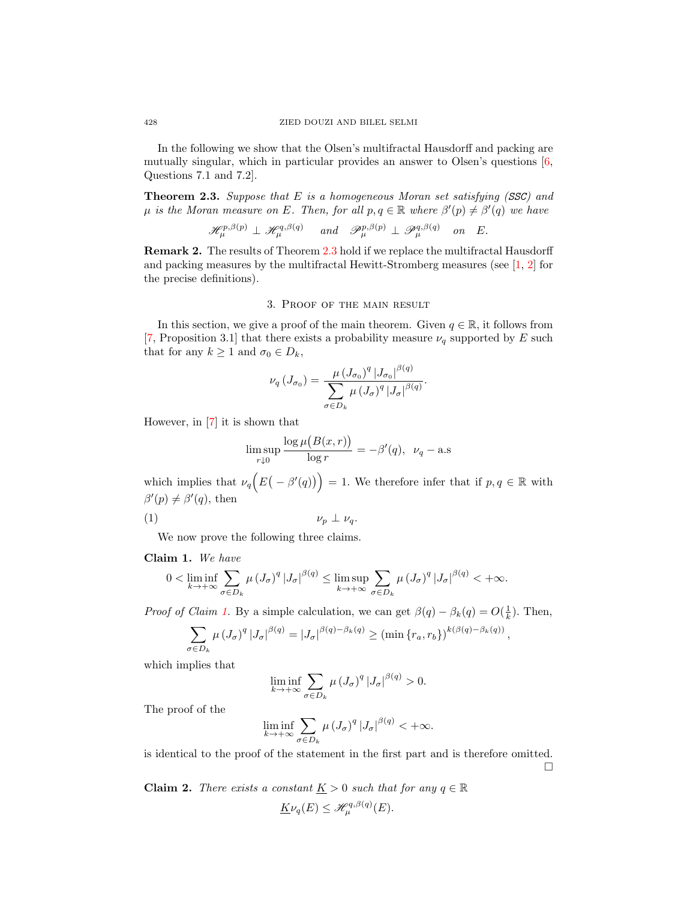In the following we show that the Olsen's multifractal Hausdorff and packing are mutually singular, which in particular provides an answer to Olsen's questions [\[6,](#page-8-1) Questions 7.1 and 7.2].

<span id="page-5-0"></span>**Theorem 2.3.** Suppose that E is a homogeneous Moran set satisfying  $(SSC)$  and  $\mu$  is the Moran measure on E. Then, for all  $p, q \in \mathbb{R}$  where  $\beta'(p) \neq \beta'(q)$  we have

$$
\mathscr{H}_{\mu}^{p,\beta(p)} \perp \mathscr{H}_{\mu}^{q,\beta(q)} \quad \text{ and } \quad \mathscr{P}_{\mu}^{p,\beta(p)} \perp \mathscr{P}_{\mu}^{q,\beta(q)} \quad \text{on } \quad E.
$$

Remark 2. The results of Theorem [2.3](#page-5-0) hold if we replace the multifractal Hausdorff and packing measures by the multifractal Hewitt-Stromberg measures (see [\[1,](#page-8-6) [2\]](#page-8-7) for the precise definitions).

## 3. Proof of the main result

In this section, we give a proof of the main theorem. Given  $q \in \mathbb{R}$ , it follows from [\[7,](#page-8-2) Proposition 3.1] that there exists a probability measure  $\nu_q$  supported by E such that for any  $k \geq 1$  and  $\sigma_0 \in D_k$ ,

$$
\nu_q(J_{\sigma_0}) = \frac{\mu (J_{\sigma_0})^q |J_{\sigma_0}|^{\beta(q)}}{\sum_{\sigma \in D_k} \mu (J_{\sigma})^q |J_{\sigma}|^{\beta(q)}}.
$$

However, in [\[7\]](#page-8-2) it is shown that

<span id="page-5-3"></span>
$$
\limsup_{r \downarrow 0} \frac{\log \mu(B(x,r))}{\log r} = -\beta'(q), \ \nu_q - \text{a.s}
$$

which implies that  $\nu_q(E(-\beta'(q))) = 1$ . We therefore infer that if  $p, q \in \mathbb{R}$  with  $\beta'(p) \neq \beta'(q)$ , then

$$
\nu_p \perp \nu_q.
$$

We now prove the following three claims.

## <span id="page-5-1"></span>Claim 1. We have

$$
0 < \liminf_{k \to +\infty} \sum_{\sigma \in D_k} \mu (J_\sigma)^q |J_\sigma|^{\beta(q)} \leq \limsup_{k \to +\infty} \sum_{\sigma \in D_k} \mu (J_\sigma)^q |J_\sigma|^{\beta(q)} < +\infty.
$$

*Proof of Claim 1*. By a simple calculation, we can get  $\beta(q) - \beta_k(q) = O(\frac{1}{k})$ . Then,

$$
\sum_{\sigma \in D_k} \mu (J_\sigma)^q |J_\sigma|^{\beta(q)} = |J_\sigma|^{\beta(q) - \beta_k(q)} \ge (\min \{r_a, r_b\})^{k(\beta(q) - \beta_k(q))},
$$

which implies that

$$
\liminf_{k \to +\infty} \sum_{\sigma \in D_k} \mu (J_\sigma)^q |J_\sigma|^{\beta(q)} > 0.
$$

The proof of the

$$
\liminf_{k \to +\infty} \sum_{\sigma \in D_k} \mu (J_\sigma)^q |J_\sigma|^{\beta(q)} < +\infty.
$$

is identical to the proof of the statement in the first part and is therefore omitted.  $\Box$ 

<span id="page-5-2"></span>**Claim 2.** There exists a constant  $\underline{K} > 0$  such that for any  $q \in \mathbb{R}$  $\underline{K}\nu_q(E) \leq \mathcal{H}^{q,\beta(q)}_{\mu}(E).$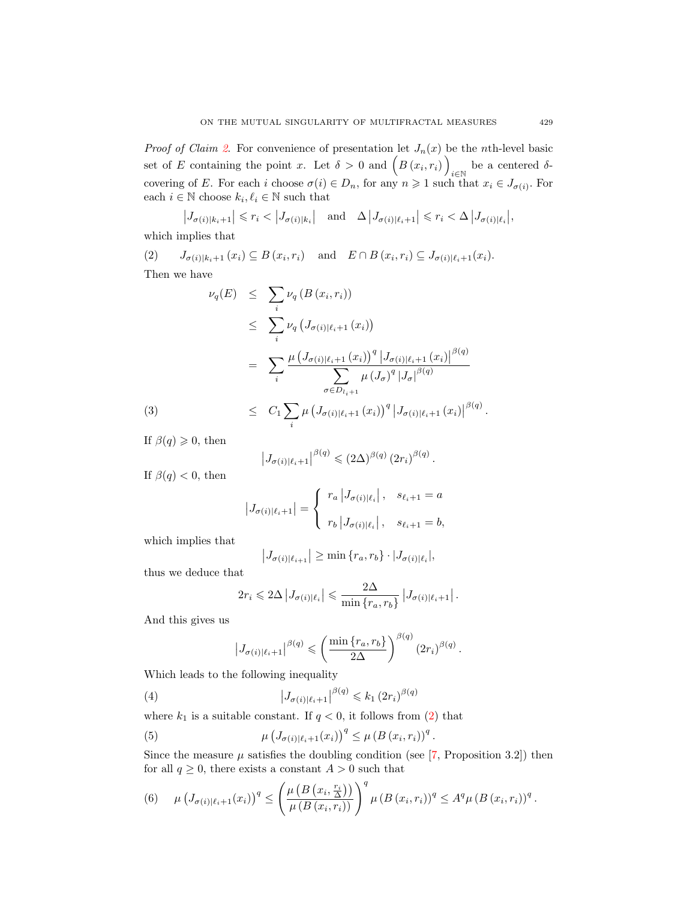*Proof of Claim [2](#page-5-2).* For convenience of presentation let  $J_n(x)$  be the *n*th-level basic set of E containing the point x. Let  $\delta > 0$  and  $(B(x_i, r_i))$ be a centered  $\delta$ covering of E. For each i choose  $\sigma(i) \in D_n$ , for any  $n \geq 1$  such that  $x_i \in J_{\sigma(i)}$ . For each  $i \in \mathbb{N}$  choose  $k_i, \ell_i \in \mathbb{N}$  such that

<span id="page-6-0"></span>
$$
\left|J_{\sigma(i)|k_i+1}\right| \leq r_i < \left|J_{\sigma(i)|k_i}\right| \quad \text{and} \quad \Delta \left|J_{\sigma(i)|\ell_i+1}\right| \leq r_i < \Delta \left|J_{\sigma(i)|\ell_i}\right|,
$$

which implies that

 $J_{\sigma(i)|k_i+1}(x_i) \subseteq B(x_i,r_i)$  and  $E \cap B(x_i,r_i) \subseteq J_{\sigma(i)|\ell_i+1}(x_i)$ . Then we have

<span id="page-6-3"></span>
$$
\nu_q(E) \leq \sum_i \nu_q(B(x_i, r_i))
$$
  
\n
$$
\leq \sum_i \nu_q(J_{\sigma(i)|\ell_i+1}(x_i))
$$
  
\n
$$
= \sum_i \frac{\mu (J_{\sigma(i)|\ell_i+1}(x_i))^q |J_{\sigma(i)|\ell_i+1}(x_i)|^{\beta(q)}}{\sum_{\sigma \in D_{l_i+1}} \mu (J_{\sigma})^q |J_{\sigma}|^{\beta(q)}}
$$
  
\n(3) 
$$
\leq C_1 \sum_i \mu (J_{\sigma(i)|\ell_i+1}(x_i))^q |J_{\sigma(i)|\ell_i+1}(x_i)|^{\beta(q)}.
$$

If  $\beta(q) \geqslant 0$ , then

$$
\left|J_{\sigma(i)|\ell_i+1}\right|^{\beta(q)} \leqslant (2\Delta)^{\beta(q)} (2r_i)^{\beta(q)}.
$$

If  $\beta(q) < 0$ , then

$$
|J_{\sigma(i)|\ell_i+1}| = \begin{cases} r_a |J_{\sigma(i)|\ell_i}|, & s_{\ell_i+1} = a \\ r_b |J_{\sigma(i)|\ell_i}|, & s_{\ell_i+1} = b, \end{cases}
$$

which implies that

$$
\left|J_{\sigma(i)|\ell_{i+1}}\right| \geq \min\left\{r_a, r_b\right\} \cdot \left|J_{\sigma(i)|\ell_i}\right|,
$$

thus we deduce that

$$
2r_i \leq 2\Delta \left| J_{\sigma(i)|\ell_i} \right| \leq \frac{2\Delta}{\min \{r_a, r_b\}} \left| J_{\sigma(i)|\ell_i+1} \right|.
$$

And this gives us

<span id="page-6-4"></span><span id="page-6-1"></span>
$$
\left|J_{\sigma(i)|\ell_i+1}\right|^{\beta(q)} \leqslant \left(\frac{\min\left\{r_a, r_b\right\}}{2\Delta}\right)^{\beta(q)} \left(2r_i\right)^{\beta(q)}.
$$

Which leads to the following inequality

(4) 
$$
\left| J_{\sigma(i)|\ell_i+1} \right|^{\beta(q)} \leq k_1 (2r_i)^{\beta(q)}
$$

where  $k_1$  is a suitable constant. If  $q < 0$ , it follows from [\(2\)](#page-6-0) that

(5) 
$$
\mu \left( J_{\sigma(i)|\ell_i+1}(x_i) \right)^q \leq \mu \left( B\left( x_i, r_i \right) \right)^q
$$

Since the measure  $\mu$  satisfies the doubling condition (see [\[7,](#page-8-2) Proposition 3.2]) then for all  $q \geq 0$ , there exists a constant  $A > 0$  such that

.

<span id="page-6-2"></span>(6) 
$$
\mu\left(J_{\sigma(i)|\ell_i+1}(x_i)\right)^q \leq \left(\frac{\mu\left(B\left(x_i,\frac{r_i}{\Delta}\right)\right)}{\mu\left(B\left(x_i,r_i\right)\right)}\right)^q \mu\left(B\left(x_i,r_i\right)\right)^q \leq A^q \mu\left(B\left(x_i,r_i\right)\right)^q.
$$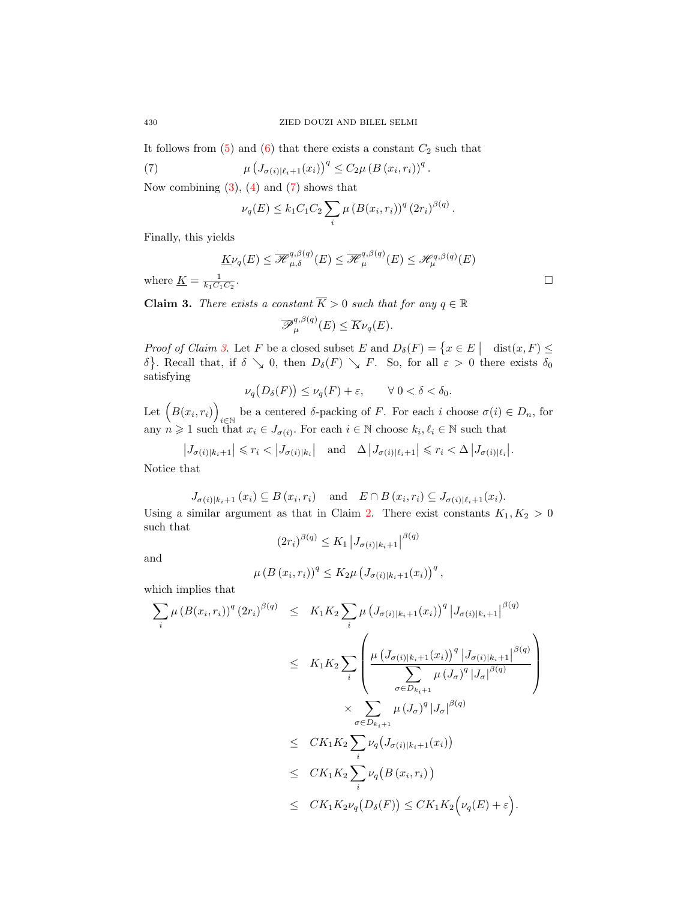It follows from  $(5)$  and  $(6)$  that there exists a constant  $C_2$  such that

(7) 
$$
\mu \left( J_{\sigma(i)|\ell_i+1}(x_i) \right)^q \leq C_2 \mu \left( B(x_i, r_i) \right)^q.
$$

Now combining  $(3)$ ,  $(4)$  and  $(7)$  shows that

<span id="page-7-0"></span>
$$
\nu_q(E) \le k_1 C_1 C_2 \sum_i \mu (B(x_i, r_i))^q (2r_i)^{\beta(q)}.
$$

Finally, this yields

$$
\underline{K}\nu_q(E) \leq \overline{\mathcal{H}}_{\mu,\delta}^{q,\beta(q)}(E) \leq \overline{\mathcal{H}}_{\mu}^{q,\beta(q)}(E) \leq \mathcal{H}_{\mu}^{q,\beta(q)}(E)
$$

where  $\underline{K} = \frac{1}{k_1 C_1 C_2}$ 

<span id="page-7-1"></span>**Claim 3.** There exists a constant  $\overline{K} > 0$  such that for any  $q \in \mathbb{R}$ 

$$
\overline{\mathscr{P}}_{\mu}^{q,\beta(q)}(E) \leq \overline{K}\nu_q(E).
$$

Proof of Claim [3](#page-7-1). Let F be a closed subset E and  $D_{\delta}(F) = \{x \in E \mid \text{dist}(x, F) \leq \delta\}$ δ}. Recall that, if  $\delta \searrow 0$ , then  $D_{\delta}(F) \searrow F$ . So, for all  $\varepsilon > 0$  there exists  $\delta_0$ satisfying

$$
\nu_q\big(D_\delta(F)\big) \le \nu_q(F) + \varepsilon, \qquad \forall \ 0 < \delta < \delta_0.
$$

Let  $(B(x_i, r_i))$ be a centered  $\delta$ -packing of F. For each i choose  $\sigma(i) \in D_n$ , for any  $n \geq 1$  such that  $x_i \in J_{\sigma(i)}$ . For each  $i \in \mathbb{N}$  choose  $k_i, \ell_i \in \mathbb{N}$  such that

$$
\left|J_{\sigma(i)|k_i+1}\right| \leq r_i < \left|J_{\sigma(i)|k_i}\right| \quad \text{and} \quad \Delta \left|J_{\sigma(i)|\ell_i+1}\right| \leq r_i < \Delta \left|J_{\sigma(i)|\ell_i}\right|.
$$

Notice that

$$
J_{\sigma(i)|k_i+1}(x_i) \subseteq B(x_i,r_i) \quad \text{and} \quad E \cap B(x_i,r_i) \subseteq J_{\sigma(i)|\ell_i+1}(x_i).
$$

Using a similar argument as that in Claim [2.](#page-5-2) There exist constants  $K_1, K_2 > 0$ such that

and

$$
(2r_i)^{\beta(q)} \le K_1 |J_{\sigma(i)|k_i+1}|^{\beta(q)}
$$

$$
\mu (B (x_i, r_i))^q \leq K_2 \mu (J_{\sigma(i)|k_i+1}(x_i))^q
$$
,

which implies that

$$
\sum_{i} \mu (B(x_i, r_i))^q (2r_i)^{\beta(q)} \leq K_1 K_2 \sum_{i} \mu (J_{\sigma(i)|k_i+1}(x_i))^q |J_{\sigma(i)|k_i+1}|^{\beta(q)}
$$
\n
$$
\leq K_1 K_2 \sum_{i} \left( \frac{\mu (J_{\sigma(i)|k_i+1}(x_i))^q |J_{\sigma(i)|k_i+1}|^{\beta(q)}}{\sum_{\sigma \in D_{k_i+1}} \mu (J_{\sigma})^q |J_{\sigma}|^{\beta(q)}} \right)
$$
\n
$$
\times \sum_{\sigma \in D_{k_i+1}} \mu (J_{\sigma})^q |J_{\sigma}|^{\beta(q)}
$$
\n
$$
\leq C K_1 K_2 \sum_{i} \nu_q (J_{\sigma(i)|k_i+1}(x_i))
$$
\n
$$
\leq C K_1 K_2 \sum_{i} \nu_q (B(x_i, r_i))
$$
\n
$$
\leq C K_1 K_2 \nu_q (D_{\delta}(F)) \leq C K_1 K_2 (\nu_q(E) + \varepsilon).
$$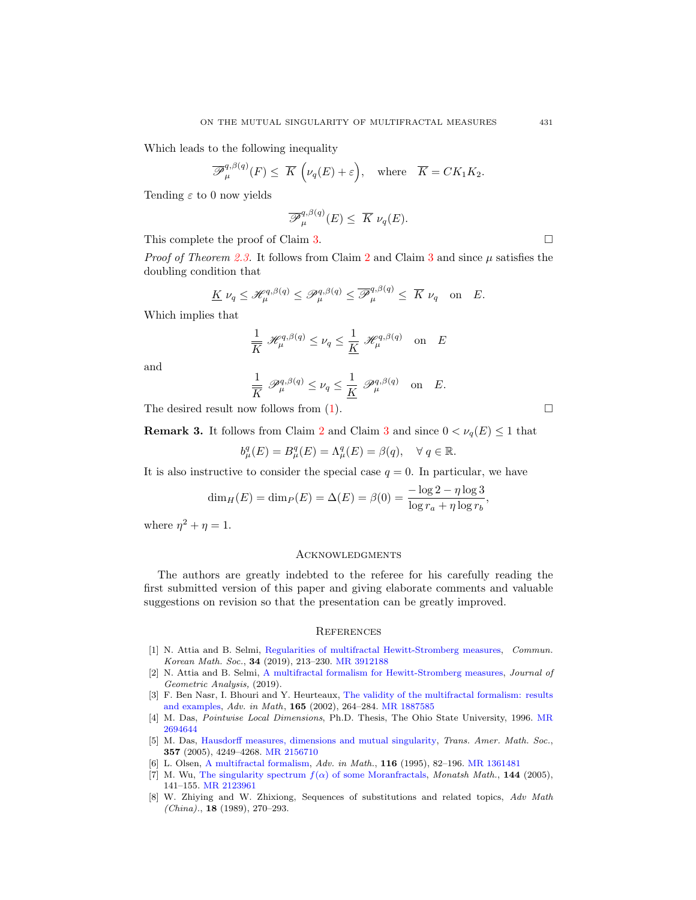Which leads to the following inequality

$$
\overline{\mathscr{P}}_{\mu}^{q,\beta(q)}(F) \leq \overline{K}\left(\nu_q(E) + \varepsilon\right), \quad \text{where} \quad \overline{K} = CK_1K_2.
$$

Tending  $\varepsilon$  to 0 now yields

$$
\overline{\mathscr{P}}_{\mu}^{q,\beta(q)}(E) \leq \overline{K} \nu_q(E).
$$

This complete the proof of Claim [3.](#page-7-1)

*Proof of Theorem [2.3.](#page-5-0)* It follows from Claim [2](#page-5-2) and Claim [3](#page-7-1) and since  $\mu$  satisfies the doubling condition that

$$
\underline{K}\,\nu_q \leq \mathscr{H}^{q,\beta(q)}_{\mu} \leq \mathscr{P}^{q,\beta(q)}_{\mu} \leq \overline{\mathscr{P}}^{q,\beta(q)}_{\mu} \leq \overline{K}\,\nu_q \quad \text{on} \quad E.
$$

Which implies that

$$
\frac{1}{\overline{K}} \mathcal{H}_{\mu}^{q,\beta(q)} \le \nu_q \le \frac{1}{\underline{K}} \mathcal{H}_{\mu}^{q,\beta(q)} \quad \text{on} \quad E
$$

and

$$
\frac{1}{\overline{K}}\,\mathscr{P}_{\mu}^{q,\beta(q)}\leq\nu_{q}\leq\frac{1}{\underline{K}}\,\mathscr{P}_{\mu}^{q,\beta(q)}\quad\text{on}\quad E.
$$

The desired result now follows from  $(1)$ .

**Remark [3](#page-7-1).** It follows from Claim [2](#page-5-2) and Claim 3 and since  $0 < \nu_q(E) \leq 1$  that

$$
b^q_\mu(E) = B^q_\mu(E) = \Lambda^q_\mu(E) = \beta(q), \quad \forall \ q \in \mathbb{R}.
$$

It is also instructive to consider the special case  $q = 0$ . In particular, we have

$$
\dim_H(E) = \dim_P(E) = \Delta(E) = \beta(0) = \frac{-\log 2 - \eta \log 3}{\log r_a + \eta \log r_b},
$$

where  $\eta^2 + \eta = 1$ .

## **ACKNOWLEDGMENTS**

The authors are greatly indebted to the referee for his carefully reading the first submitted version of this paper and giving elaborate comments and valuable suggestions on revision so that the presentation can be greatly improved.

## **REFERENCES**

- <span id="page-8-6"></span>[1] N. Attia and B. Selmi, [Regularities of multifractal Hewitt-Stromberg measures,](http://dx.doi.org/10.4134/CKMS.c180030) Commun. Korean Math. Soc., 34 (2019), 213–230. [MR 3912188](http://www.ams.org/mathscinet-getitem?mr=3912188&return=pdf)
- <span id="page-8-7"></span>[2] N. Attia and B. Selmi, [A multifractal formalism for Hewitt-Stromberg measures,](http://dx.doi.org/10.1007/s12220-019-00302-3) Journal of Geometric Analysis, (2019).
- <span id="page-8-0"></span>[3] F. Ben Nasr, I. Bhouri and Y. Heurteaux, [The validity of the multifractal formalism: results](http://dx.doi.org/10.1006/aima.2001.2025) [and examples,](http://dx.doi.org/10.1006/aima.2001.2025) Adv. in Math, 165 (2002), 264–284. [MR 1887585](http://www.ams.org/mathscinet-getitem?mr=1887585&return=pdf)
- <span id="page-8-3"></span>[4] M. Das, Pointwise Local Dimensions, Ph.D. Thesis, The Ohio State University, 1996. [MR](http://www.ams.org/mathscinet-getitem?mr=2694644&return=pdf) [2694644](http://www.ams.org/mathscinet-getitem?mr=2694644&return=pdf)
- <span id="page-8-4"></span>[5] M. Das, [Hausdorff measures, dimensions and mutual singularity,](http://dx.doi.org/10.1090/S0002-9947-05-04031-6) Trans. Amer. Math. Soc., 357 (2005), 4249–4268. [MR 2156710](http://www.ams.org/mathscinet-getitem?mr=2156710&return=pdf)
- <span id="page-8-1"></span>[6] L. Olsen, [A multifractal formalism,](http://dx.doi.org/10.1006/aima.1995.1066) Adv. in Math., 116 (1995), 82–196. [MR 1361481](http://www.ams.org/mathscinet-getitem?mr=1361481&return=pdf)
- <span id="page-8-2"></span>[7] M. Wu, [The singularity spectrum](http://dx.doi.org/10.1007/s00605-004-0254-3)  $f(\alpha)$  of some Moranfractals, Monatsh Math., 144 (2005), 141–155. [MR 2123961](http://www.ams.org/mathscinet-getitem?mr=2123961&return=pdf)
- <span id="page-8-5"></span>[8] W. Zhiying and W. Zhixiong, Sequences of substitutions and related topics, Adv Math (China)., 18 (1989), 270–293.